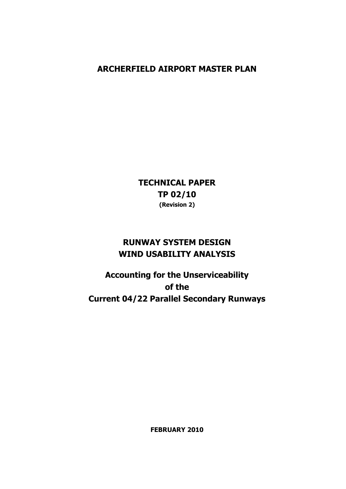### **ARCHERFIELD AIRPORT MASTER PLAN**

**TECHNICAL PAPER TP 02/10 (Revision 2)** 

# **RUNWAY SYSTEM DESIGN WIND USABILITY ANALYSIS**

**Accounting for the Unserviceability of the Current 04/22 Parallel Secondary Runways** 

**FEBRUARY 2010**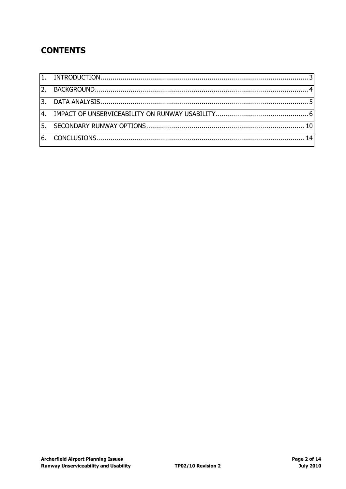# **CONTENTS**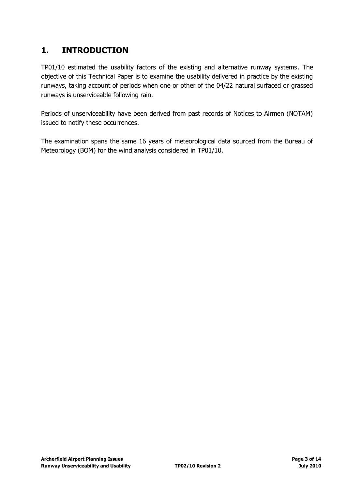## <span id="page-2-0"></span>**1. INTRODUCTION**

TP01/10 estimated the usability factors of the existing and alternative runway systems. The objective of this Technical Paper is to examine the usability delivered in practice by the existing runways, taking account of periods when one or other of the 04/22 natural surfaced or grassed runways is unserviceable following rain.

Periods of unserviceability have been derived from past records of Notices to Airmen (NOTAM) issued to notify these occurrences.

The examination spans the same 16 years of meteorological data sourced from the Bureau of Meteorology (BOM) for the wind analysis considered in TP01/10.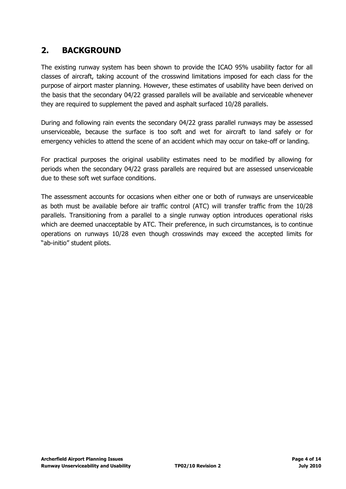## <span id="page-3-0"></span>**2. BACKGROUND**

The existing runway system has been shown to provide the ICAO 95% usability factor for all classes of aircraft, taking account of the crosswind limitations imposed for each class for the purpose of airport master planning. However, these estimates of usability have been derived on the basis that the secondary 04/22 grassed parallels will be available and serviceable whenever they are required to supplement the paved and asphalt surfaced 10/28 parallels.

During and following rain events the secondary 04/22 grass parallel runways may be assessed unserviceable, because the surface is too soft and wet for aircraft to land safely or for emergency vehicles to attend the scene of an accident which may occur on take-off or landing.

For practical purposes the original usability estimates need to be modified by allowing for periods when the secondary 04/22 grass parallels are required but are assessed unserviceable due to these soft wet surface conditions.

The assessment accounts for occasions when either one or both of runways are unserviceable as both must be available before air traffic control (ATC) will transfer traffic from the 10/28 parallels. Transitioning from a parallel to a single runway option introduces operational risks which are deemed unacceptable by ATC. Their preference, in such circumstances, is to continue operations on runways 10/28 even though crosswinds may exceed the accepted limits for "ab-initio" student pilots.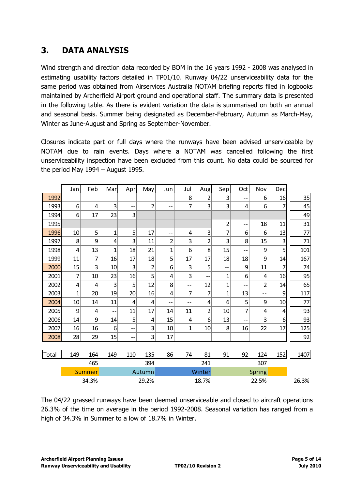## <span id="page-4-0"></span>**3. DATA ANALYSIS**

Wind strength and direction data recorded by BOM in the 16 years 1992 - 2008 was analysed in estimating usability factors detailed in TP01/10. Runway 04/22 unserviceability data for the same period was obtained from Airservices Australia NOTAM briefing reports filed in logbooks maintained by Archerfield Airport ground and operational staff. The summary data is presented in the following table. As there is evident variation the data is summarised on both an annual and seasonal basis. Summer being designated as December-February, Autumn as March-May, Winter as June-August and Spring as September-November.

Closures indicate part or full days where the runways have been advised unserviceable by NOTAM due to rain events. Days where a NOTAM was cancelled following the first unserviceability inspection have been excluded from this count. No data could be sourced for the period May 1994 – August 1995.

|              | Jan             | Feb             | Mar            | Apr   | May            | Jun             | Jul             | Aug            | Sep                     | Oct   | Nov      | Dec   |      |
|--------------|-----------------|-----------------|----------------|-------|----------------|-----------------|-----------------|----------------|-------------------------|-------|----------|-------|------|
| 1992         |                 |                 |                |       |                |                 | 8               | 2              | 3                       | --    | $6 \mid$ | 16    | 35   |
| 1993         | $6\vert$        | 4               | 3              | --    | $\overline{2}$ | $-$             | 7               | 3              | 3                       | 4     | 6        | 7     | 45   |
| 1994         | 6 <sup>1</sup>  | 17              | 23             | 3     |                |                 |                 |                |                         |       |          |       | 49   |
| 1995         |                 |                 |                |       |                |                 |                 |                | $\overline{\mathbf{c}}$ | --    | 18       | 11    | 31   |
| 1996         | 10 <sup>1</sup> | 5               | $\overline{1}$ | 5     | 17             | --              | $\vert 4 \vert$ | 3              | 7                       | 6     | 6        | 13    | 77   |
| 1997         | 8               | 9               | 4              | 3     | 11             | 2               | 3               | 2              | 3                       | 8     | 15       | 3     | 71   |
| 1998         | 4               | 13              | $\overline{1}$ | 18    | 21             | $\overline{1}$  | 6               | 8              | 15                      | $-$   | 9        | 5     | 101  |
| 1999         | 11              | 7               | 16             | 17    | 18             | 5               | 17              | 17             | 18                      | 18    | 9        | 14    | 167  |
| 2000         | 15              | 3               | 10             | 3     | $\overline{2}$ | $6 \mid$        | 3               | 5              | --                      | 9     | 11       | 7     | 74   |
| 2001         | 7               | 10 <sup>1</sup> | 23             | 16    | 5              | $\vert 4 \vert$ | 3               | --             | $\mathbf{1}$            | 6     | 4        | 16    | 95   |
| 2002         | $\vert 4 \vert$ | 4               | 3              | 5     | 12             | 8               | --              | 12             | 1                       | --    | 2        | 14    | 65   |
| 2003         | $\mathbf 1$     | 20 <sup>°</sup> | 19             | 20    | 16             | $\vert 4 \vert$ | 7               | 7              | $\mathbf{1}$            | 13    | $-$      | 9     | 117  |
| 2004         | 10 <sup>1</sup> | 14              | 11             | 4     | 4              | --              | $-$             | $\overline{4}$ | 6                       | 5     | 9        | 10    | 77   |
| 2005         | 9               | 4               | --             | 11    | 17             | 14              | 11              | 2              | 10                      | 7     | 4        | 4     | 93   |
| 2006         | 14              | 9               | 14             | 5     | 4              | 15              | 4               | 6              | 13                      | --    | 3        | 6     | 93   |
| 2007         | 16              | 16              | 6              | --    | 3              | 10 <sup>1</sup> | $\overline{1}$  | 10             | 8                       | 16    | 22       | 17    | 125  |
| 2008         | 28              | 29              | 15             | --    | 3              | 17              |                 |                |                         |       |          |       | 92   |
|              |                 |                 |                |       |                |                 |                 |                |                         |       |          |       |      |
| <b>Total</b> | 149             | 164             | 149            | 110   | 135            | 86              | 74              | 81             | 91                      | 92    | 124      | 152   | 1407 |
|              |                 | 465             |                |       | 394            |                 |                 | 241            |                         |       | 307      |       |      |
|              |                 | <b>Summer</b>   |                |       | Autumn         |                 |                 | Winter         |                         |       | Spring   |       |      |
|              | 34.3%           |                 |                | 29.2% |                |                 | 18.7%           |                |                         | 22.5% |          | 26.3% |      |

The 04/22 grassed runways have been deemed unserviceable and closed to aircraft operations 26.3% of the time on average in the period 1992-2008. Seasonal variation has ranged from a high of 34.3% in Summer to a low of 18.7% in Winter.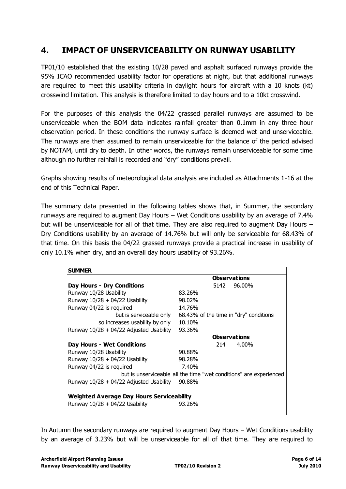#### <span id="page-5-0"></span>**4. IMPACT OF UNSERVICEABILITY ON RUNWAY USABILITY**

TP01/10 established that the existing 10/28 paved and asphalt surfaced runways provide the 95% ICAO recommended usability factor for operations at night, but that additional runways are required to meet this usability criteria in daylight hours for aircraft with a 10 knots (kt) crosswind limitation. This analysis is therefore limited to day hours and to a 10kt crosswind.

For the purposes of this analysis the 04/22 grassed parallel runways are assumed to be unserviceable when the BOM data indicates rainfall greater than 0.1mm in any three hour observation period. In these conditions the runway surface is deemed wet and unserviceable. The runways are then assumed to remain unserviceable for the balance of the period advised by NOTAM, until dry to depth. In other words, the runways remain unserviceable for some time although no further rainfall is recorded and "dry" conditions prevail.

Graphs showing results of meteorological data analysis are included as Attachments 1-16 at the end of this Technical Paper.

The summary data presented in the following tables shows that, in Summer, the secondary runways are required to augment Day Hours – Wet Conditions usability by an average of 7.4% but will be unserviceable for all of that time. They are also required to augment Day Hours – Dry Conditions usability by an average of 14.76% but will only be serviceable for 68.43% of that time. On this basis the 04/22 grassed runways provide a practical increase in usability of only 10.1% when dry, and an overall day hours usability of 93.26%.

| <b>SUMMER</b>                                    |                                                                    |  |  |  |  |  |
|--------------------------------------------------|--------------------------------------------------------------------|--|--|--|--|--|
|                                                  | <b>Observations</b>                                                |  |  |  |  |  |
| Day Hours - Dry Conditions                       | 5142 96.00%                                                        |  |  |  |  |  |
| Runway 10/28 Usability                           | 83.26%                                                             |  |  |  |  |  |
| Runway $10/28 + 04/22$ Usability                 | 98.02%                                                             |  |  |  |  |  |
| Runway 04/22 is required                         | 14.76%                                                             |  |  |  |  |  |
| but is serviceable only                          | 68.43% of the time in "dry" conditions                             |  |  |  |  |  |
| so increases usability by only                   | 10.10%                                                             |  |  |  |  |  |
| Runway $10/28 + 04/22$ Adjusted Usability        | 93.36%                                                             |  |  |  |  |  |
|                                                  | <b>Observations</b>                                                |  |  |  |  |  |
| Day Hours - Wet Conditions                       | $4.00\%$<br>214                                                    |  |  |  |  |  |
| Runway 10/28 Usability                           | 90.88%                                                             |  |  |  |  |  |
| Runway $10/28 + 04/22$ Usability                 | 98.28%                                                             |  |  |  |  |  |
| Runway 04/22 is required                         | 7.40%                                                              |  |  |  |  |  |
|                                                  | but is unserviceable all the time "wet conditions" are experienced |  |  |  |  |  |
| Runway $10/28 + 04/22$ Adjusted Usability        | 90.88%                                                             |  |  |  |  |  |
| <b>Weighted Average Day Hours Serviceability</b> |                                                                    |  |  |  |  |  |
| Runway $10/28 + 04/22$ Usability                 | 93.26%                                                             |  |  |  |  |  |

In Autumn the secondary runways are required to augment Day Hours – Wet Conditions usability by an average of 3.23% but will be unserviceable for all of that time. They are required to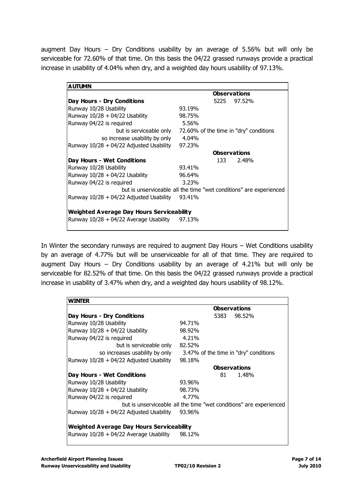augment Day Hours – Dry Conditions usability by an average of 5.56% but will only be serviceable for 72.60% of that time. On this basis the 04/22 grassed runways provide a practical increase in usability of 4.04% when dry, and a weighted day hours usability of 97.13%.

| <b>AUTUMN</b>                                    |                                                                    |  |  |  |  |  |
|--------------------------------------------------|--------------------------------------------------------------------|--|--|--|--|--|
|                                                  | <b>Observations</b>                                                |  |  |  |  |  |
| Day Hours - Dry Conditions                       | 5225 97.52%                                                        |  |  |  |  |  |
| Runway 10/28 Usability                           | 93.19%                                                             |  |  |  |  |  |
| Runway $10/28 + 04/22$ Usability                 | 98.75%                                                             |  |  |  |  |  |
| Runway 04/22 is required                         | 5.56%                                                              |  |  |  |  |  |
| but is serviceable only                          | 72.60% of the time in "dry" conditions                             |  |  |  |  |  |
| so increase usability by only                    | 4.04%                                                              |  |  |  |  |  |
| Runway $10/28 + 04/22$ Adjusted Usability        | 97.23%                                                             |  |  |  |  |  |
|                                                  | <b>Observations</b>                                                |  |  |  |  |  |
| Day Hours - Wet Conditions                       | 133 —<br>2.48%                                                     |  |  |  |  |  |
| Runway 10/28 Usability                           | 93.41%                                                             |  |  |  |  |  |
| Runway $10/28 + 04/22$ Usability                 | 96.64%                                                             |  |  |  |  |  |
| Runway 04/22 is required                         | 3.23%                                                              |  |  |  |  |  |
|                                                  | but is unserviceable all the time "wet conditions" are experienced |  |  |  |  |  |
| Runway 10/28 + 04/22 Adjusted Usability          | 93.41%                                                             |  |  |  |  |  |
| <b>Weighted Average Day Hours Serviceability</b> |                                                                    |  |  |  |  |  |
| Runway 10/28 + 04/22 Average Usability           | 97.13%                                                             |  |  |  |  |  |
|                                                  |                                                                    |  |  |  |  |  |

In Winter the secondary runways are required to augment Day Hours – Wet Conditions usability by an average of 4.77% but will be unserviceable for all of that time. They are required to augment Day Hours – Dry Conditions usability by an average of 4.21% but will only be serviceable for 82.52% of that time. On this basis the 04/22 grassed runways provide a practical increase in usability of 3.47% when dry, and a weighted day hours usability of 98.12%.

| WINTER                                           |                                                                    |
|--------------------------------------------------|--------------------------------------------------------------------|
|                                                  | <b>Observations</b>                                                |
| Day Hours - Dry Conditions                       | 5383<br>98.52%                                                     |
| Runway 10/28 Usability                           | 94.71%                                                             |
| Runway $10/28 + 04/22$ Usability                 | 98.92%                                                             |
| Runway 04/22 is required                         | 4.21%                                                              |
| but is serviceable only                          | 82.52%                                                             |
| so increases usability by only                   | 3.47% of the time in "dry" conditions                              |
| Runway $10/28 + 04/22$ Adjusted Usability        | 98.18%                                                             |
|                                                  | <b>Observations</b>                                                |
| Day Hours - Wet Conditions                       | 81<br>1.48%                                                        |
| Runway 10/28 Usability                           | 93.96%                                                             |
| Runway $10/28 + 04/22$ Usability                 | 98.73%                                                             |
| Runway 04/22 is required                         | 4.77%                                                              |
|                                                  | but is unserviceable all the time "wet conditions" are experienced |
| Runway $10/28 + 04/22$ Adjusted Usability        | 93.96%                                                             |
| <b>Weighted Average Day Hours Serviceability</b> |                                                                    |
| Runway $10/28 + 04/22$ Average Usability         | 98.12%                                                             |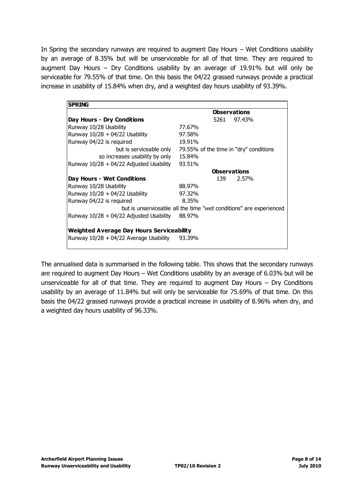In Spring the secondary runways are required to augment Day Hours – Wet Conditions usability by an average of 8.35% but will be unserviceable for all of that time. They are required to augment Day Hours – Dry Conditions usability by an average of 19.91% but will only be serviceable for 79.55% of that time. On this basis the 04/22 grassed runways provide a practical increase in usability of 15.84% when dry, and a weighted day hours usability of 93.39%.

| <b>SPRING</b>                                    |                                                                    |  |  |  |  |  |  |
|--------------------------------------------------|--------------------------------------------------------------------|--|--|--|--|--|--|
|                                                  | <b>Observations</b>                                                |  |  |  |  |  |  |
| Day Hours - Dry Conditions                       | 5261 97.43%                                                        |  |  |  |  |  |  |
| Runway 10/28 Usability                           | 77.67%                                                             |  |  |  |  |  |  |
| Runway $10/28 + 04/22$ Usability                 | 97.58%                                                             |  |  |  |  |  |  |
| Runway 04/22 is required                         | 19.91%                                                             |  |  |  |  |  |  |
| but is serviceable only                          | 79.55% of the time in "dry" conditions                             |  |  |  |  |  |  |
| so increases usability by only                   | 15.84%                                                             |  |  |  |  |  |  |
| Runway $10/28 + 04/22$ Adjusted Usability        | 93.51%                                                             |  |  |  |  |  |  |
|                                                  | <b>Observations</b>                                                |  |  |  |  |  |  |
| Day Hours - Wet Conditions                       | 139<br>2.57%                                                       |  |  |  |  |  |  |
| Runway 10/28 Usability                           | 88.97%                                                             |  |  |  |  |  |  |
| Runway $10/28 + 04/22$ Usability                 | 97.32%                                                             |  |  |  |  |  |  |
| Runway 04/22 is required                         | 8.35%                                                              |  |  |  |  |  |  |
|                                                  | but is unserviceable all the time "wet conditions" are experienced |  |  |  |  |  |  |
| Runway $10/28 + 04/22$ Adjusted Usability        | 88.97%                                                             |  |  |  |  |  |  |
| <b>Weighted Average Day Hours Serviceability</b> |                                                                    |  |  |  |  |  |  |
| Runway $10/28 + 04/22$ Average Usability         | 93.39%                                                             |  |  |  |  |  |  |
|                                                  |                                                                    |  |  |  |  |  |  |

The annualised data is summarised in the following table. This shows that the secondary runways are required to augment Day Hours – Wet Conditions usability by an average of 6.03% but will be unserviceable for all of that time. They are required to augment Day Hours – Dry Conditions usability by an average of 11.84% but will only be serviceable for 75.69% of that time. On this basis the 04/22 grassed runways provide a practical increase in usability of 8.96% when dry, and a weighted day hours usability of 96.33%.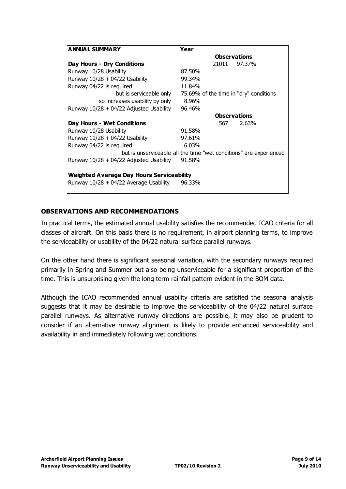| <b>ANNUAL SUMMARY</b>                            | Year                                                               |
|--------------------------------------------------|--------------------------------------------------------------------|
|                                                  | <b>Observations</b>                                                |
| Day Hours - Dry Conditions                       | 21011<br>97.37%                                                    |
| Runway 10/28 Usability                           | 87.50%                                                             |
| Runway $10/28 + 04/22$ Usability                 | 99.34%                                                             |
| Runway 04/22 is required                         | 11.84%                                                             |
| but is serviceable only                          | 75.69% of the time in "dry" conditions                             |
| so increases usability by only                   | 8.96%                                                              |
| Runway $10/28 + 04/22$ Adjusted Usability        | 96.46%                                                             |
|                                                  | <b>Observations</b>                                                |
| Day Hours - Wet Conditions                       | 2.63%<br>567.                                                      |
| Runway 10/28 Usability                           | 91.58%                                                             |
| Runway $10/28 + 04/22$ Usability                 | 97.61%                                                             |
| Runway 04/22 is required                         | 6.03%                                                              |
|                                                  | but is unserviceable all the time "wet conditions" are experienced |
| Runway $10/28 + 04/22$ Adjusted Usability        | 91.58%                                                             |
|                                                  |                                                                    |
| <b>Weighted Average Day Hours Serviceability</b> |                                                                    |
| Runway $10/28 + 04/22$ Average Usability         | 96.33%                                                             |
|                                                  |                                                                    |

#### **OBSERVATIONS AND RECOMMENDATIONS**

In practical terms, the estimated annual usability satisfies the recommended ICAO criteria for all classes of aircraft. On this basis there is no requirement, in airport planning terms, to improve the serviceability or usability of the 04/22 natural surface parallel runways.

On the other hand there is significant seasonal variation, with the secondary runways required primarily in Spring and Summer but also being unserviceable for a significant proportion of the time. This is unsurprising given the long term rainfall pattern evident in the BOM data.

Although the ICAO recommended annual usability criteria are satisfied the seasonal analysis suggests that it may be desirable to improve the serviceability of the 04/22 natural surface parallel runways. As alternative runway directions are possible, it may also be prudent to consider if an alternative runway alignment is likely to provide enhanced serviceability and availability in and immediately following wet conditions.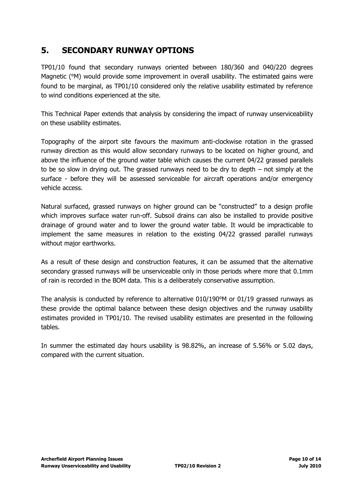#### <span id="page-9-0"></span>**5. SECONDARY RUNWAY OPTIONS**

TP01/10 found that secondary runways oriented between 180/360 and 040/220 degrees Magnetic ( $\textdegree{M}$ ) would provide some improvement in overall usability. The estimated gains were found to be marginal, as TP01/10 considered only the relative usability estimated by reference to wind conditions experienced at the site.

This Technical Paper extends that analysis by considering the impact of runway unserviceability on these usability estimates.

Topography of the airport site favours the maximum anti-clockwise rotation in the grassed runway direction as this would allow secondary runways to be located on higher ground, and above the influence of the ground water table which causes the current 04/22 grassed parallels to be so slow in drying out. The grassed runways need to be dry to depth – not simply at the surface - before they will be assessed serviceable for aircraft operations and/or emergency vehicle access.

Natural surfaced, grassed runways on higher ground can be "constructed" to a design profile which improves surface water run-off. Subsoil drains can also be installed to provide positive drainage of ground water and to lower the ground water table. It would be impracticable to implement the same measures in relation to the existing 04/22 grassed parallel runways without major earthworks.

As a result of these design and construction features, it can be assumed that the alternative secondary grassed runways will be unserviceable only in those periods where more that 0.1mm of rain is recorded in the BOM data. This is a deliberately conservative assumption.

The analysis is conducted by reference to alternative  $010/190^{\circ}$ M or  $01/19$  grassed runways as these provide the optimal balance between these design objectives and the runway usability estimates provided in TP01/10. The revised usability estimates are presented in the following tables.

In summer the estimated day hours usability is 98.82%, an increase of 5.56% or 5.02 days, compared with the current situation.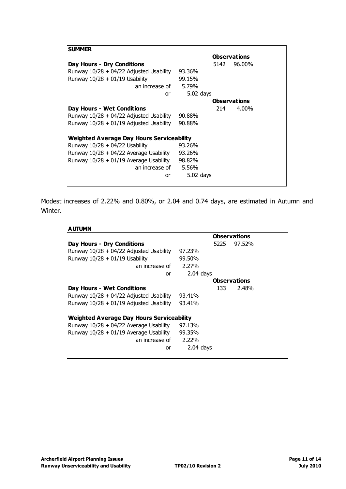| <b>SUMMER</b>                                    |                     |
|--------------------------------------------------|---------------------|
|                                                  | <b>Observations</b> |
| Day Hours - Dry Conditions                       | 5142<br>96.00%      |
| Runway $10/28 + 04/22$ Adjusted Usability        | 93.36%              |
| Runway $10/28 + 01/19$ Usability                 | 99.15%              |
| an increase of                                   | 5.79%               |
| or                                               | $5.02$ days         |
|                                                  | <b>Observations</b> |
| Day Hours - Wet Conditions                       | 4.00%<br>214.       |
| Runway $10/28 + 04/22$ Adjusted Usability        | 90.88%              |
| Runway $10/28 + 01/19$ Adjusted Usability        | 90.88%              |
| <b>Weighted Average Day Hours Serviceability</b> |                     |
| Runway $10/28 + 04/22$ Usability                 | 93.26%              |
| Runway $10/28 + 04/22$ Average Usability         | 93.26%              |
| Runway $10/28 + 01/19$ Average Usability         | 98.82%              |
| an increase of                                   | 5.56%               |
| or                                               | $5.02$ days         |
|                                                  |                     |

Modest increases of 2.22% and 0.80%, or 2.04 and 0.74 days, are estimated in Autumn and Winter.

| <b>AUTUMN</b>                             |             |      |                     |
|-------------------------------------------|-------------|------|---------------------|
|                                           |             |      | <b>Observations</b> |
| Day Hours - Dry Conditions                |             | 5225 | 97.52%              |
| Runway 10/28 + 04/22 Adjusted Usability   | 97.23%      |      |                     |
| Runway $10/28 + 01/19$ Usability          | 99.50%      |      |                     |
| an increase of                            | 2.27%       |      |                     |
| or                                        | $2.04$ days |      |                     |
|                                           |             |      | <b>Observations</b> |
| Day Hours - Wet Conditions                |             | 133  | 2.48%               |
| Runway $10/28 + 04/22$ Adjusted Usability | 93.41%      |      |                     |
| Runway 10/28 + 01/19 Adjusted Usability   | 93.41%      |      |                     |
| Weighted Average Day Hours Serviceability |             |      |                     |
| Runway 10/28 + 04/22 Average Usability    | 97.13%      |      |                     |
| Runway 10/28 + 01/19 Average Usability    | 99.35%      |      |                     |
| an increase of                            | 2.22%       |      |                     |
| or                                        | $2.04$ days |      |                     |
|                                           |             |      |                     |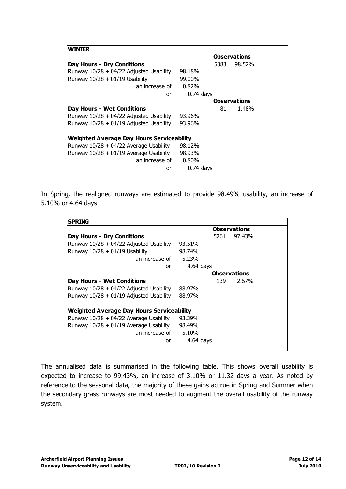| WINTER                                           |                     |
|--------------------------------------------------|---------------------|
|                                                  | <b>Observations</b> |
| Day Hours - Dry Conditions                       | 98.52%<br>5383      |
| Runway $10/28 + 04/22$ Adjusted Usability        | 98.18%              |
| Runway $10/28 + 01/19$ Usability                 | 99.00%              |
| an increase of                                   | 0.82%               |
| or                                               | $0.74$ days         |
|                                                  | <b>Observations</b> |
| Day Hours - Wet Conditions                       | 81<br>1.48%         |
| Runway $10/28 + 04/22$ Adjusted Usability        | 93.96%              |
| Runway $10/28 + 01/19$ Adjusted Usability        | 93.96%              |
| <b>Weighted Average Day Hours Serviceability</b> |                     |
| Runway $10/28 + 04/22$ Average Usability         | 98.12%              |
| Runway $10/28 + 01/19$ Average Usability         | 98.93%              |
| an increase of                                   | $0.80\%$            |
| or                                               | $0.74$ days         |
|                                                  |                     |

In Spring, the realigned runways are estimated to provide 98.49% usability, an increase of 5.10% or 4.64 days.

| <b>SPRING</b>                             |             |      |                     |
|-------------------------------------------|-------------|------|---------------------|
|                                           |             |      | <b>Observations</b> |
| Day Hours - Dry Conditions                |             | 5261 | 97.43%              |
| Runway 10/28 + 04/22 Adjusted Usability   | 93.51%      |      |                     |
| Runway $10/28 + 01/19$ Usability          | 98.74%      |      |                     |
| an increase of                            | 5.23%       |      |                     |
| or                                        | $4.64$ days |      |                     |
|                                           |             |      | <b>Observations</b> |
| Day Hours - Wet Conditions                |             | 139  | 2.57%               |
| Runway $10/28 + 04/22$ Adjusted Usability | 88.97%      |      |                     |
| Runway $10/28 + 01/19$ Adjusted Usability | 88.97%      |      |                     |
| Weighted Average Day Hours Serviceability |             |      |                     |
| Runway $10/28 + 04/22$ Average Usability  | 93.39%      |      |                     |
| Runway 10/28 + 01/19 Average Usability    | 98.49%      |      |                     |
| an increase of 5.10%                      |             |      |                     |
| or                                        | $4.64$ days |      |                     |

The annualised data is summarised in the following table. This shows overall usability is expected to increase to 99.43%, an increase of 3.10% or 11.32 days a year. As noted by reference to the seasonal data, the majority of these gains accrue in Spring and Summer when the secondary grass runways are most needed to augment the overall usability of the runway system.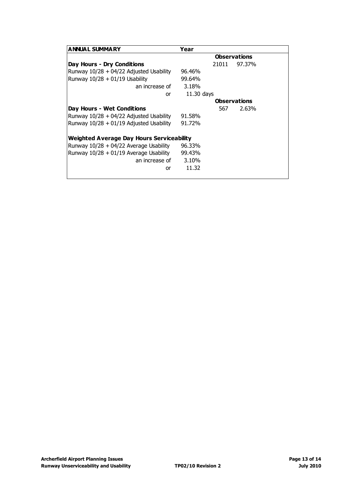| <b>ANNUAL SUMMARY</b>                            | Year                |
|--------------------------------------------------|---------------------|
|                                                  | <b>Observations</b> |
| Day Hours - Dry Conditions                       | 97.37%<br>21011     |
| Runway $10/28 + 04/22$ Adjusted Usability        | 96.46%              |
| Runway $10/28 + 01/19$ Usability                 | 99.64%              |
| an increase of                                   | 3.18%               |
| or                                               | $11.30$ days        |
|                                                  | <b>Observations</b> |
| Day Hours - Wet Conditions                       | 2.63%<br>567        |
| Runway 10/28 + 04/22 Adjusted Usability          | 91.58%              |
| Runway $10/28 + 01/19$ Adjusted Usability        | 91.72%              |
| <b>Weighted Average Day Hours Serviceability</b> |                     |
| Runway $10/28 + 04/22$ Average Usability         | 96.33%              |
| Runway $10/28 + 01/19$ Average Usability         | 99.43%              |
| an increase of                                   | 3.10%               |
| or                                               | 11.32               |
|                                                  |                     |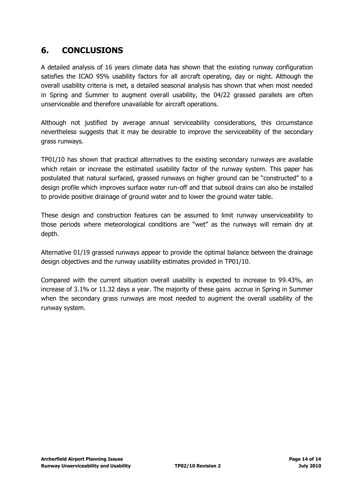### <span id="page-13-0"></span>**6. CONCLUSIONS**

A detailed analysis of 16 years climate data has shown that the existing runway configuration satisfies the ICAO 95% usability factors for all aircraft operating, day or night. Although the overall usability criteria is met, a detailed seasonal analysis has shown that when most needed in Spring and Summer to augment overall usability, the 04/22 grassed parallels are often unserviceable and therefore unavailable for aircraft operations.

Although not justified by average annual serviceability considerations, this circumstance nevertheless suggests that it may be desirable to improve the serviceability of the secondary grass runways.

TP01/10 has shown that practical alternatives to the existing secondary runways are available which retain or increase the estimated usability factor of the runway system. This paper has postulated that natural surfaced, grassed runways on higher ground can be "constructed" to a design profile which improves surface water run-off and that subsoil drains can also be installed to provide positive drainage of ground water and to lower the ground water table.

These design and construction features can be assumed to limit runway unserviceability to those periods where meteorological conditions are "wet" as the runways will remain dry at depth.

Alternative 01/19 grassed runways appear to provide the optimal balance between the drainage design objectives and the runway usability estimates provided in TP01/10.

Compared with the current situation overall usability is expected to increase to 99.43%, an increase of 3.1% or 11.32 days a year. The majority of these gains accrue in Spring in Summer when the secondary grass runways are most needed to augment the overall usability of the runway system.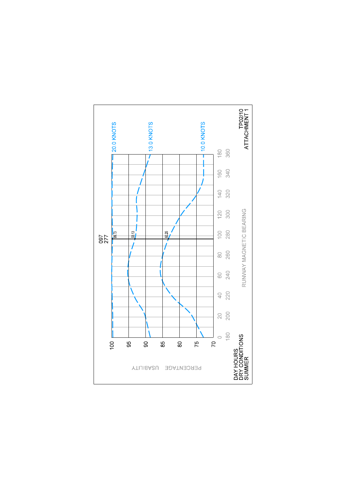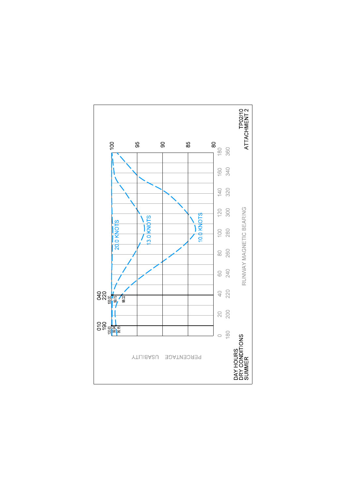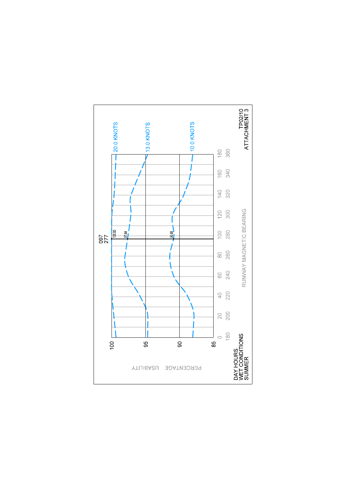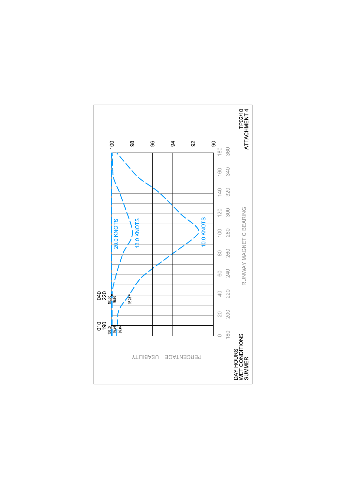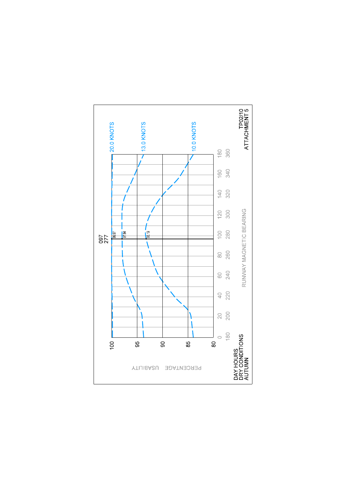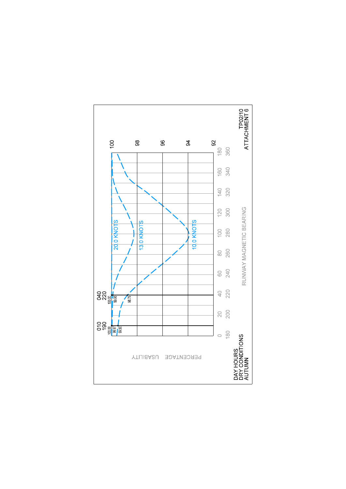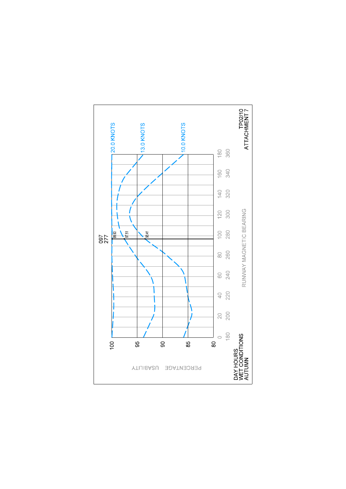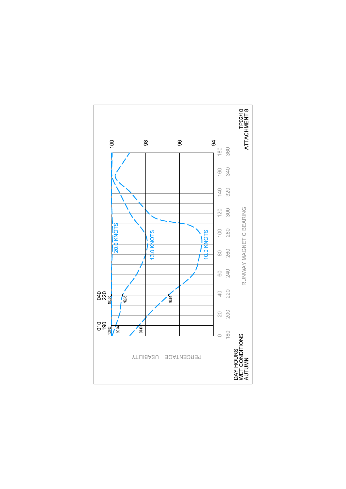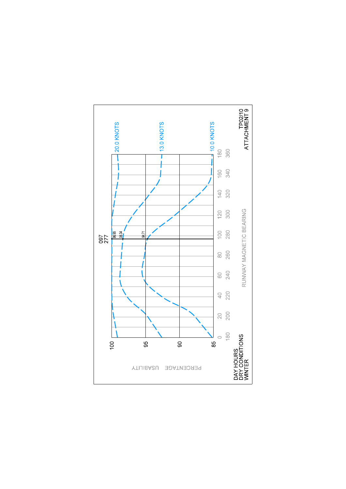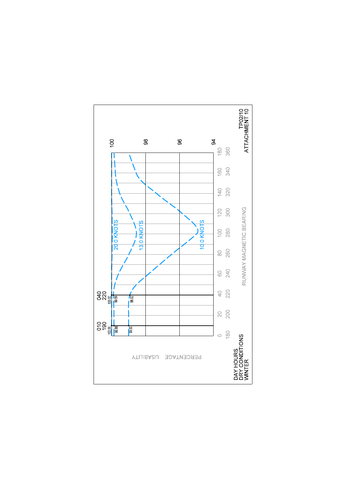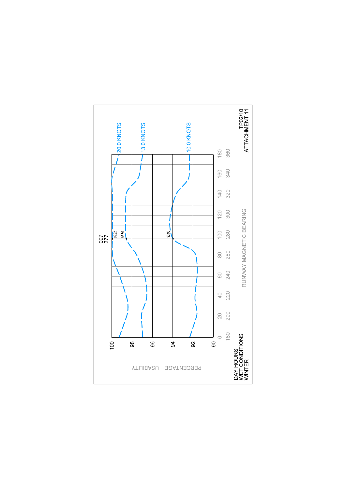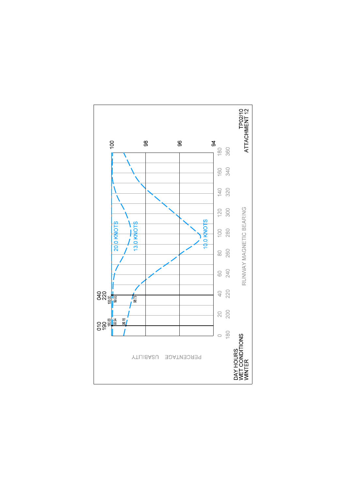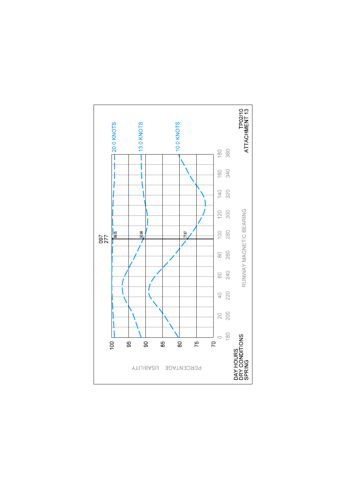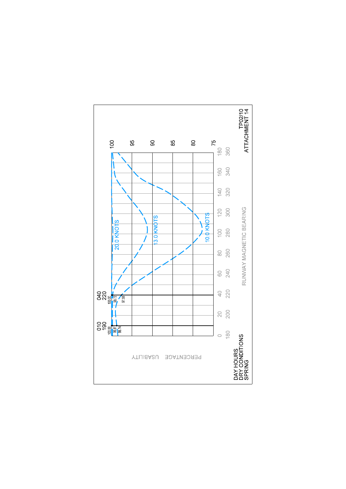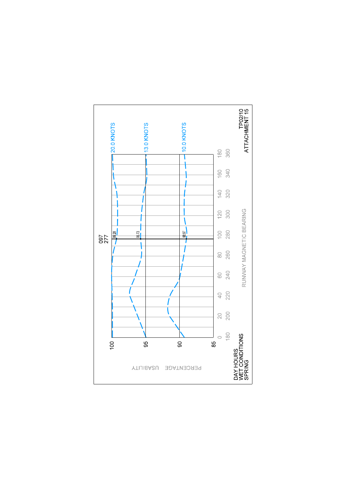